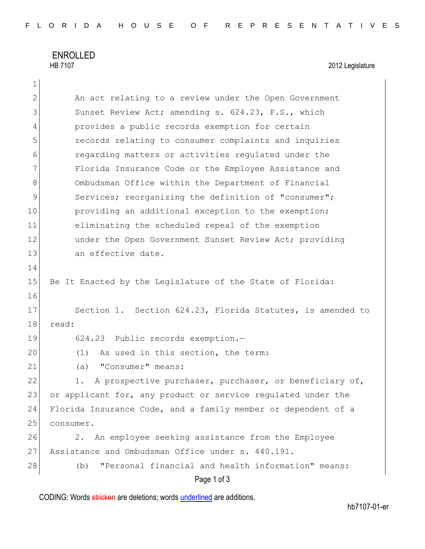## ENROLLED<br>HB 7107

2012 Legislature

| $\overline{2}$ | An act relating to a review under the Open Government         |
|----------------|---------------------------------------------------------------|
| 3              | Sunset Review Act; amending s. 624.23, F.S., which            |
| 4              | provides a public records exemption for certain               |
| 5              | records relating to consumer complaints and inquiries         |
| 6              | regarding matters or activities regulated under the           |
| 7              | Florida Insurance Code or the Employee Assistance and         |
| $\,8\,$        | Ombudsman Office within the Department of Financial           |
| 9              | Services; reorganizing the definition of "consumer";          |
| 10             | providing an additional exception to the exemption;           |
| 11             | eliminating the scheduled repeal of the exemption             |
| 12             | under the Open Government Sunset Review Act; providing        |
| 13             | an effective date.                                            |
| 14             |                                                               |
| 15             | Be It Enacted by the Legislature of the State of Florida:     |
| 16             |                                                               |
| 17             | Section 1. Section 624.23, Florida Statutes, is amended to    |
| 18             | read:                                                         |
| 19             | 624.23 Public records exemption.-                             |
| 20             | As used in this section, the term:<br>(1)                     |
| 21             | "Consumer" means:<br>(a)                                      |
| 22             | A prospective purchaser, purchaser, or beneficiary of,<br>1.  |
| 23             | or applicant for, any product or service regulated under the  |
| 24             | Florida Insurance Code, and a family member or dependent of a |
| 25             | consumer.                                                     |
| 26             | An employee seeking assistance from the Employee<br>2.        |
| 27             | Assistance and Ombudsman Office under s. 440.191.             |
| 28             | "Personal financial and health information" means:<br>(b)     |
|                | Page 1 of 3                                                   |

CODING: Words stricken are deletions; words underlined are additions.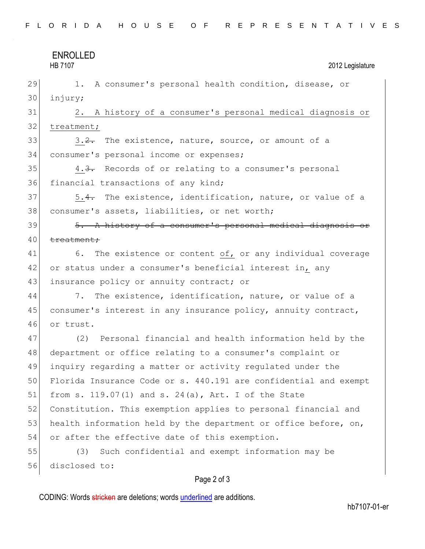|    | <b>ENROLLED</b>                                                  |
|----|------------------------------------------------------------------|
|    | <b>HB 7107</b><br>2012 Legislature                               |
| 29 | 1. A consumer's personal health condition, disease, or           |
| 30 | injury;                                                          |
| 31 | 2. A history of a consumer's personal medical diagnosis or       |
| 32 | treatment;                                                       |
| 33 | 3.2. The existence, nature, source, or amount of a               |
| 34 | consumer's personal income or expenses;                          |
| 35 | 4.3. Records of or relating to a consumer's personal             |
| 36 | financial transactions of any kind;                              |
| 37 | 5.4. The existence, identification, nature, or value of a        |
| 38 | consumer's assets, liabilities, or net worth;                    |
| 39 | 5. A history of a consumer's personal medical diagnosis or       |
| 40 | treatment;                                                       |
| 41 | 6. The existence or content of, or any individual coverage       |
| 42 | or status under a consumer's beneficial interest in, any         |
| 43 | insurance policy or annuity contract; or                         |
| 44 | 7.<br>The existence, identification, nature, or value of a       |
| 45 | consumer's interest in any insurance policy, annuity contract,   |
| 46 | or trust.                                                        |
| 47 | Personal financial and health information held by the<br>(2)     |
| 48 | department or office relating to a consumer's complaint or       |
| 49 | inquiry regarding a matter or activity regulated under the       |
| 50 | Florida Insurance Code or s. 440.191 are confidential and exempt |
| 51 | from s. $119.07(1)$ and s. $24(a)$ , Art. I of the State         |
| 52 | Constitution. This exemption applies to personal financial and   |
| 53 | health information held by the department or office before, on,  |
| 54 | or after the effective date of this exemption.                   |
| 55 | Such confidential and exempt information may be<br>(3)           |
| 56 | disclosed to:                                                    |
|    | $P$ ang $2$ of $3$                                               |

## Page 2 of 3

CODING: Words stricken are deletions; words underlined are additions.